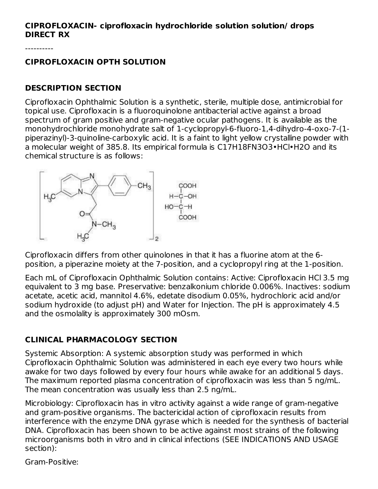#### **CIPROFLOXACIN- ciprofloxacin hydrochloride solution solution/ drops DIRECT RX**

----------

### **CIPROFLOXACIN OPTH SOLUTION**

### **DESCRIPTION SECTION**

Ciprofloxacin Ophthalmic Solution is a synthetic, sterile, multiple dose, antimicrobial for topical use. Ciprofloxacin is a fluoroquinolone antibacterial active against a broad spectrum of gram positive and gram-negative ocular pathogens. It is available as the monohydrochloride monohydrate salt of 1-cyclopropyl-6-fluoro-1,4-dihydro-4-oxo-7-(1 piperazinyl)-3-quinoline-carboxylic acid. It is a faint to light yellow crystalline powder with a molecular weight of 385.8. Its empirical formula is C17H18FN3O3•HCl•H2O and its chemical structure is as follows:



Ciprofloxacin differs from other quinolones in that it has a fluorine atom at the 6 position, a piperazine moiety at the 7-position, and a cyclopropyl ring at the 1-position.

Each mL of Ciprofloxacin Ophthalmic Solution contains: Active: Ciprofloxacin HCl 3.5 mg equivalent to 3 mg base. Preservative: benzalkonium chloride 0.006%. Inactives: sodium acetate, acetic acid, mannitol 4.6%, edetate disodium 0.05%, hydrochloric acid and/or sodium hydroxide (to adjust pH) and Water for Injection. The pH is approximately 4.5 and the osmolality is approximately 300 mOsm.

# **CLINICAL PHARMACOLOGY SECTION**

Systemic Absorption: A systemic absorption study was performed in which Ciprofloxacin Ophthalmic Solution was administered in each eye every two hours while awake for two days followed by every four hours while awake for an additional 5 days. The maximum reported plasma concentration of ciprofloxacin was less than 5 ng/mL. The mean concentration was usually less than 2.5 ng/mL.

Microbiology: Ciprofloxacin has in vitro activity against a wide range of gram-negative and gram-positive organisms. The bactericidal action of ciprofloxacin results from interference with the enzyme DNA gyrase which is needed for the synthesis of bacterial DNA. Ciprofloxacin has been shown to be active against most strains of the following microorganisms both in vitro and in clinical infections (SEE INDICATIONS AND USAGE section):

Gram-Positive: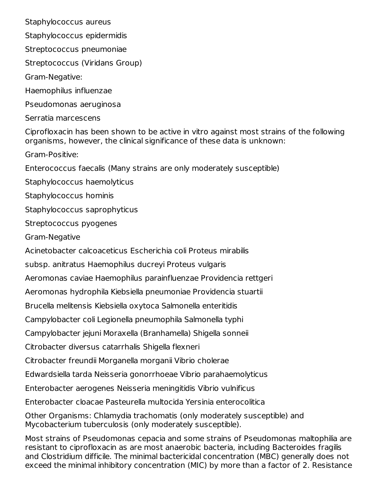Staphylococcus aureus

Staphylococcus epidermidis

Streptococcus pneumoniae

Streptococcus (Viridans Group)

Gram-Negative:

Haemophilus influenzae

Pseudomonas aeruginosa

Serratia marcescens

Ciprofloxacin has been shown to be active in vitro against most strains of the following organisms, however, the clinical significance of these data is unknown:

Gram-Positive:

Enterococcus faecalis (Many strains are only moderately susceptible)

Staphylococcus haemolyticus

Staphylococcus hominis

Staphylococcus saprophyticus

Streptococcus pyogenes

Gram-Negative

Acinetobacter calcoaceticus Escherichia coli Proteus mirabilis

subsp. anitratus Haemophilus ducreyi Proteus vulgaris

Aeromonas caviae Haemophilus parainfluenzae Providencia rettgeri

Aeromonas hydrophila Kiebsiella pneumoniae Providencia stuartii

Brucella melitensis Kiebsiella oxytoca Salmonella enteritidis

Campylobacter coli Legionella pneumophila Salmonella typhi

Campylobacter jejuni Moraxella (Branhamella) Shigella sonneii

Citrobacter diversus catarrhalis Shigella flexneri

Citrobacter freundii Morganella morganii Vibrio cholerae

Edwardsiella tarda Neisseria gonorrhoeae Vibrio parahaemolyticus

Enterobacter aerogenes Neisseria meningitidis Vibrio vulnificus

Enterobacter cloacae Pasteurella multocida Yersinia enterocolitica

Other Organisms: Chlamydia trachomatis (only moderately susceptible) and Mycobacterium tuberculosis (only moderately susceptible).

Most strains of Pseudomonas cepacia and some strains of Pseudomonas maltophilia are resistant to ciprofloxacin as are most anaerobic bacteria, including Bacteroides fragilis and Clostridium difficile. The minimal bactericidal concentration (MBC) generally does not exceed the minimal inhibitory concentration (MIC) by more than a factor of 2. Resistance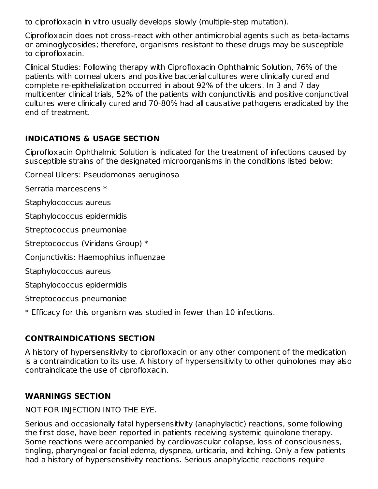to ciprofloxacin in vitro usually develops slowly (multiple-step mutation).

Ciprofloxacin does not cross-react with other antimicrobial agents such as beta-lactams or aminoglycosides; therefore, organisms resistant to these drugs may be susceptible to ciprofloxacin.

Clinical Studies: Following therapy with Ciprofloxacin Ophthalmic Solution, 76% of the patients with corneal ulcers and positive bacterial cultures were clinically cured and complete re-epithelialization occurred in about 92% of the ulcers. In 3 and 7 day multicenter clinical trials, 52% of the patients with conjunctivitis and positive conjunctival cultures were clinically cured and 70-80% had all causative pathogens eradicated by the end of treatment.

### **INDICATIONS & USAGE SECTION**

Ciprofloxacin Ophthalmic Solution is indicated for the treatment of infections caused by susceptible strains of the designated microorganisms in the conditions listed below:

Corneal Ulcers: Pseudomonas aeruginosa

Serratia marcescens \*

Staphylococcus aureus

Staphylococcus epidermidis

Streptococcus pneumoniae

Streptococcus (Viridans Group) \*

Conjunctivitis: Haemophilus influenzae

Staphylococcus aureus

Staphylococcus epidermidis

Streptococcus pneumoniae

\* Efficacy for this organism was studied in fewer than 10 infections.

# **CONTRAINDICATIONS SECTION**

A history of hypersensitivity to ciprofloxacin or any other component of the medication is a contraindication to its use. A history of hypersensitivity to other quinolones may also contraindicate the use of ciprofloxacin.

# **WARNINGS SECTION**

# NOT FOR INJECTION INTO THE EYE.

Serious and occasionally fatal hypersensitivity (anaphylactic) reactions, some following the first dose, have been reported in patients receiving systemic quinolone therapy. Some reactions were accompanied by cardiovascular collapse, loss of consciousness, tingling, pharyngeal or facial edema, dyspnea, urticaria, and itching. Only a few patients had a history of hypersensitivity reactions. Serious anaphylactic reactions require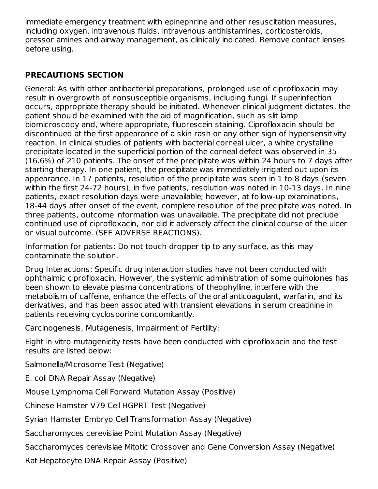immediate emergency treatment with epinephrine and other resuscitation measures, including oxygen, intravenous fluids, intravenous antihistamines, corticosteroids, pressor amines and airway management, as clinically indicated. Remove contact lenses before using.

# **PRECAUTIONS SECTION**

General: As with other antibacterial preparations, prolonged use of ciprofloxacin may result in overgrowth of nonsusceptible organisms, including fungi. If superinfection occurs, appropriate therapy should be initiated. Whenever clinical judgment dictates, the patient should be examined with the aid of magnification, such as slit lamp biomicroscopy and, where appropriate, fluorescein staining. Ciprofloxacin should be discontinued at the first appearance of a skin rash or any other sign of hypersensitivity reaction. In clinical studies of patients with bacterial corneal ulcer, a white crystalline precipitate located in the superficial portion of the corneal defect was observed in 35 (16.6%) of 210 patients. The onset of the precipitate was within 24 hours to 7 days after starting therapy. In one patient, the precipitate was immediately irrigated out upon its appearance. In 17 patients, resolution of the precipitate was seen in 1 to 8 days (seven within the first 24-72 hours), in five patients, resolution was noted in 10-13 days. In nine patients, exact resolution days were unavailable; however, at follow-up examinations, 18-44 days after onset of the event, complete resolution of the precipitate was noted. In three patients, outcome information was unavailable. The precipitate did not preclude continued use of ciprofloxacin, nor did it adversely affect the clinical course of the ulcer or visual outcome. (SEE ADVERSE REACTIONS).

Information for patients: Do not touch dropper tip to any surface, as this may contaminate the solution.

Drug Interactions: Specific drug interaction studies have not been conducted with ophthalmic ciprofloxacin. However, the systemic administration of some quinolones has been shown to elevate plasma concentrations of theophylline, interfere with the metabolism of caffeine, enhance the effects of the oral anticoagulant, warfarin, and its derivatives, and has been associated with transient elevations in serum creatinine in patients receiving cyclosporine concomitantly.

Carcinogenesis, Mutagenesis, Impairment of Fertility:

Eight in vitro mutagenicity tests have been conducted with ciprofloxacin and the test results are listed below:

Salmonella/Microsome Test (Negative)

E. coli DNA Repair Assay (Negative)

Mouse Lymphoma Cell Forward Mutation Assay (Positive)

Chinese Hamster V79 Cell HGPRT Test (Negative)

Syrian Hamster Embryo Cell Transformation Assay (Negative)

Saccharomyces cerevisiae Point Mutation Assay (Negative)

Saccharomyces cerevisiae Mitotic Crossover and Gene Conversion Assay (Negative)

Rat Hepatocyte DNA Repair Assay (Positive)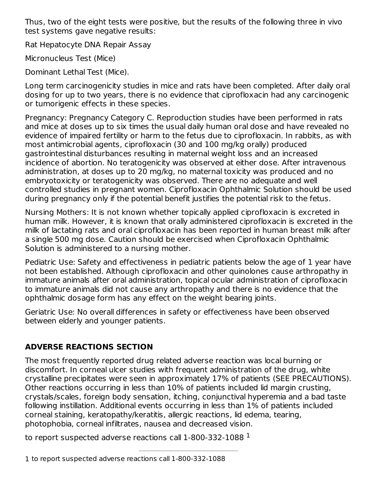Thus, two of the eight tests were positive, but the results of the following three in vivo test systems gave negative results:

Rat Hepatocyte DNA Repair Assay

Micronucleus Test (Mice)

Dominant Lethal Test (Mice).

Long term carcinogenicity studies in mice and rats have been completed. After daily oral dosing for up to two years, there is no evidence that ciprofloxacin had any carcinogenic or tumorigenic effects in these species.

Pregnancy: Pregnancy Category C. Reproduction studies have been performed in rats and mice at doses up to six times the usual daily human oral dose and have revealed no evidence of impaired fertility or harm to the fetus due to ciprofloxacin. In rabbits, as with most antimicrobial agents, ciprofloxacin (30 and 100 mg/kg orally) produced gastrointestinal disturbances resulting in maternal weight loss and an increased incidence of abortion. No teratogenicity was observed at either dose. After intravenous administration, at doses up to 20 mg/kg, no maternal toxicity was produced and no embryotoxicity or teratogenicity was observed. There are no adequate and well controlled studies in pregnant women. Ciprofloxacin Ophthalmic Solution should be used during pregnancy only if the potential benefit justifies the potential risk to the fetus.

Nursing Mothers: It is not known whether topically applied ciprofloxacin is excreted in human milk. However, it is known that orally administered ciprofloxacin is excreted in the milk of lactating rats and oral ciprofloxacin has been reported in human breast milk after a single 500 mg dose. Caution should be exercised when Ciprofloxacin Ophthalmic Solution is administered to a nursing mother.

Pediatric Use: Safety and effectiveness in pediatric patients below the age of 1 year have not been established. Although ciprofloxacin and other quinolones cause arthropathy in immature animals after oral administration, topical ocular administration of ciprofloxacin to immature animals did not cause any arthropathy and there is no evidence that the ophthalmic dosage form has any effect on the weight bearing joints.

Geriatric Use: No overall differences in safety or effectiveness have been observed between elderly and younger patients.

# **ADVERSE REACTIONS SECTION**

The most frequently reported drug related adverse reaction was local burning or discomfort. In corneal ulcer studies with frequent administration of the drug, white crystalline precipitates were seen in approximately 17% of patients (SEE PRECAUTIONS). Other reactions occurring in less than 10% of patients included lid margin crusting, crystals/scales, foreign body sensation, itching, conjunctival hyperemia and a bad taste following instillation. Additional events occurring in less than 1% of patients included corneal staining, keratopathy/keratitis, allergic reactions, lid edema, tearing, photophobia, corneal infiltrates, nausea and decreased vision.

to report suspected adverse reactions call 1-800-332-1088  $^{\rm 1}$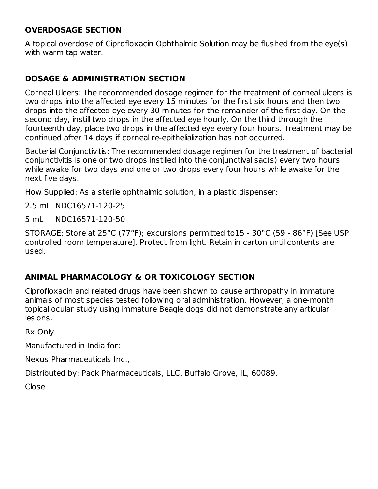### **OVERDOSAGE SECTION**

A topical overdose of Ciprofloxacin Ophthalmic Solution may be flushed from the eye(s) with warm tap water.

### **DOSAGE & ADMINISTRATION SECTION**

Corneal Ulcers: The recommended dosage regimen for the treatment of corneal ulcers is two drops into the affected eye every 15 minutes for the first six hours and then two drops into the affected eye every 30 minutes for the remainder of the first day. On the second day, instill two drops in the affected eye hourly. On the third through the fourteenth day, place two drops in the affected eye every four hours. Treatment may be continued after 14 days if corneal re-epithelialization has not occurred.

Bacterial Conjunctivitis: The recommended dosage regimen for the treatment of bacterial conjunctivitis is one or two drops instilled into the conjunctival sac(s) every two hours while awake for two days and one or two drops every four hours while awake for the next five days.

How Supplied: As a sterile ophthalmic solution, in a plastic dispenser:

2.5 mL NDC16571-120-25

5 mL NDC16571-120-50

STORAGE: Store at 25°C (77°F); excursions permitted to15 - 30°C (59 - 86°F) [See USP controlled room temperature]. Protect from light. Retain in carton until contents are used.

### **ANIMAL PHARMACOLOGY & OR TOXICOLOGY SECTION**

Ciprofloxacin and related drugs have been shown to cause arthropathy in immature animals of most species tested following oral administration. However, a one-month topical ocular study using immature Beagle dogs did not demonstrate any articular lesions.

Rx Only

Manufactured in India for:

Nexus Pharmaceuticals Inc.,

Distributed by: Pack Pharmaceuticals, LLC, Buffalo Grove, IL, 60089.

Close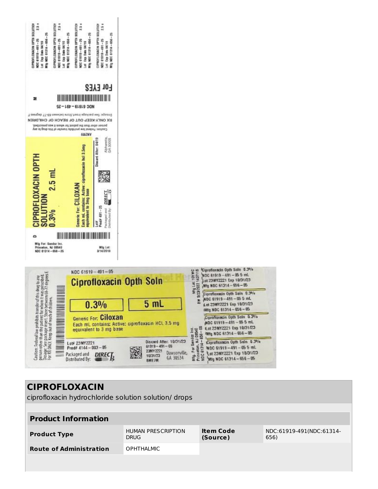

 $DIREC$ 

═

Packaged and

Distributed By:

| <b>CIPROFLOXACIN</b>                                 |                                          |                              |                                  |  |  |  |  |  |
|------------------------------------------------------|------------------------------------------|------------------------------|----------------------------------|--|--|--|--|--|
| ciprofloxacin hydrochloride solution solution/ drops |                                          |                              |                                  |  |  |  |  |  |
|                                                      |                                          |                              |                                  |  |  |  |  |  |
| <b>Product Information</b>                           |                                          |                              |                                  |  |  |  |  |  |
| <b>Product Type</b>                                  | <b>HUMAN PRESCRIPTION</b><br><b>DRUG</b> | <b>Item Code</b><br>(Source) | NDC:61919-491(NDC:61314-<br>656) |  |  |  |  |  |
| <b>Route of Administration</b>                       | <b>OPHTHALMIC</b>                        |                              |                                  |  |  |  |  |  |
|                                                      |                                          |                              |                                  |  |  |  |  |  |
|                                                      |                                          |                              |                                  |  |  |  |  |  |

Dawsonville,

Mfg NDC 61314 - 656 - 05

GA 30534

10/31/23

**BME7M**